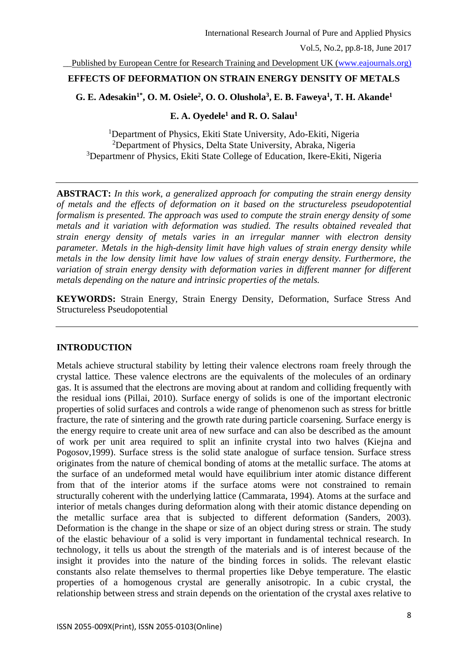\_\_Published by European Centre for Research Training and Development UK [\(www.eajournals.org\)](http://www.eajournals.org/)

# **EFFECTS OF DEFORMATION ON STRAIN ENERGY DENSITY OF METALS**

## **G. E. Adesakin1\* , O. M. Osiele<sup>2</sup> , O. O. Olushola<sup>3</sup> , E. B. Faweya<sup>1</sup> , T. H. Akande<sup>1</sup>**

## **E. A. Oyedele<sup>1</sup> and R. O. Salau<sup>1</sup>**

<sup>1</sup>Department of Physics, Ekiti State University, Ado-Ekiti, Nigeria <sup>2</sup>Department of Physics, Delta State University, Abraka, Nigeria <sup>3</sup>Departmenr of Physics, Ekiti State College of Education, Ikere-Ekiti, Nigeria

**ABSTRACT:** *In this work, a generalized approach for computing the strain energy density of metals and the effects of deformation on it based on the structureless pseudopotential formalism is presented. The approach was used to compute the strain energy density of some metals and it variation with deformation was studied. The results obtained revealed that strain energy density of metals varies in an irregular manner with electron density parameter. Metals in the high-density limit have high values of strain energy density while metals in the low density limit have low values of strain energy density. Furthermore, the variation of strain energy density with deformation varies in different manner for different metals depending on the nature and intrinsic properties of the metals.* 

**KEYWORDS:** Strain Energy, Strain Energy Density, Deformation, Surface Stress And Structureless Pseudopotential

# **INTRODUCTION**

Metals achieve structural stability by letting their valence electrons roam freely through the crystal lattice. These valence electrons are the equivalents of the molecules of an ordinary gas. It is assumed that the electrons are moving about at random and colliding frequently with the residual ions (Pillai, 2010). Surface energy of solids is one of the important electronic properties of solid surfaces and controls a wide range of phenomenon such as stress for brittle fracture, the rate of sintering and the growth rate during particle coarsening. Surface energy is the energy require to create unit area of new surface and can also be described as the amount of work per unit area required to split an infinite crystal into two halves (Kiejna and Pogosov,1999). Surface stress is the solid state analogue of surface tension. Surface stress originates from the nature of chemical bonding of atoms at the metallic surface. The atoms at the surface of an undeformed metal would have equilibrium inter atomic distance different from that of the interior atoms if the surface atoms were not constrained to remain structurally coherent with the underlying lattice (Cammarata, 1994). Atoms at the surface and interior of metals changes during deformation along with their atomic distance depending on the metallic surface area that is subjected to different deformation (Sanders, 2003). Deformation is the change in the shape or size of an object during stress or strain. The study of the elastic behaviour of a solid is very important in fundamental technical research. In technology, it tells us about the strength of the materials and is of interest because of the insight it provides into the nature of the binding forces in solids. The relevant elastic constants also relate themselves to thermal properties like Debye temperature. The elastic properties of a homogenous crystal are generally anisotropic. In a cubic crystal, the relationship between stress and strain depends on the orientation of the crystal axes relative to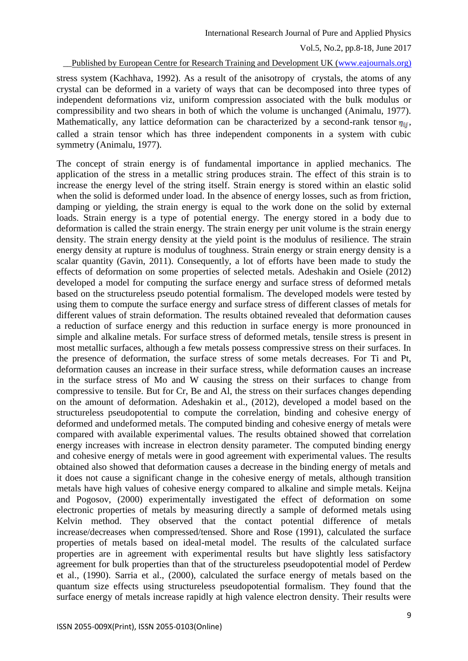\_\_Published by European Centre for Research Training and Development UK [\(www.eajournals.org\)](http://www.eajournals.org/)

stress system (Kachhava, 1992). As a result of the anisotropy of crystals, the atoms of any crystal can be deformed in a variety of ways that can be decomposed into three types of independent deformations viz, uniform compression associated with the bulk modulus or compressibility and two shears in both of which the volume is unchanged (Animalu, 1977). Mathematically, any lattice deformation can be characterized by a second-rank tensor  $\eta_{ij}$ , called a strain tensor which has three independent components in a system with cubic symmetry (Animalu, 1977).

The concept of strain energy is of fundamental importance in applied mechanics. The application of the stress in a metallic string produces strain. The effect of this strain is to increase the energy level of the string itself. Strain energy is stored within an elastic solid when the solid is deformed under load. In the absence of energy losses, such as from friction, damping or yielding, the strain energy is equal to the work done on the solid by external loads. Strain energy is a type of potential energy. The energy stored in a body due to deformation is called the strain energy. The strain energy per unit volume is the strain energy density. The strain energy density at the yield point is the modulus of resilience. The strain energy density at rupture is modulus of toughness. Strain energy or strain energy density is a scalar quantity (Gavin, 2011). Consequently, a lot of efforts have been made to study the effects of deformation on some properties of selected metals. Adeshakin and Osiele (2012) developed a model for computing the surface energy and surface stress of deformed metals based on the structureless pseudo potential formalism. The developed models were tested by using them to compute the surface energy and surface stress of different classes of metals for different values of strain deformation. The results obtained revealed that deformation causes a reduction of surface energy and this reduction in surface energy is more pronounced in simple and alkaline metals. For surface stress of deformed metals, tensile stress is present in most metallic surfaces, although a few metals possess compressive stress on their surfaces. In the presence of deformation, the surface stress of some metals decreases. For Ti and Pt, deformation causes an increase in their surface stress, while deformation causes an increase in the surface stress of Mo and W causing the stress on their surfaces to change from compressive to tensile. But for Cr, Be and Al, the stress on their surfaces changes depending on the amount of deformation. Adeshakin et al., (2012), developed a model based on the structureless pseudopotential to compute the correlation, binding and cohesive energy of deformed and undeformed metals. The computed binding and cohesive energy of metals were compared with available experimental values. The results obtained showed that correlation energy increases with increase in electron density parameter. The computed binding energy and cohesive energy of metals were in good agreement with experimental values. The results obtained also showed that deformation causes a decrease in the binding energy of metals and it does not cause a significant change in the cohesive energy of metals, although transition metals have high values of cohesive energy compared to alkaline and simple metals. Keijna and Pogosov, (2000) experimentally investigated the effect of deformation on some electronic properties of metals by measuring directly a sample of deformed metals using Kelvin method. They observed that the contact potential difference of metals increase/decreases when compressed/tensed. Shore and Rose (1991), calculated the surface properties of metals based on ideal-metal model. The results of the calculated surface properties are in agreement with experimental results but have slightly less satisfactory agreement for bulk properties than that of the structureless pseudopotential model of Perdew et al., (1990). Sarria et al., (2000), calculated the surface energy of metals based on the quantum size effects using structureless pseudopotential formalism. They found that the surface energy of metals increase rapidly at high valence electron density. Their results were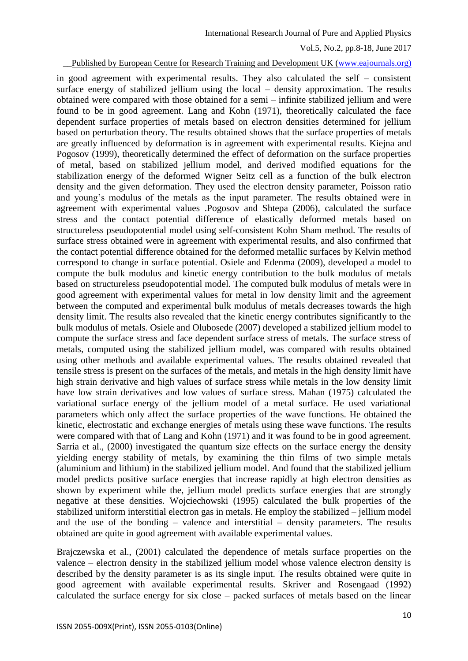International Research Journal of Pure and Applied Physics

Vol.5, No.2, pp.8-18, June 2017

\_\_Published by European Centre for Research Training and Development UK [\(www.eajournals.org\)](http://www.eajournals.org/)

in good agreement with experimental results. They also calculated the self – consistent surface energy of stabilized jellium using the local – density approximation. The results obtained were compared with those obtained for a semi – infinite stabilized jellium and were found to be in good agreement. Lang and Kohn (1971), theoretically calculated the face dependent surface properties of metals based on electron densities determined for jellium based on perturbation theory. The results obtained shows that the surface properties of metals are greatly influenced by deformation is in agreement with experimental results. Kiejna and Pogosov (1999), theoretically determined the effect of deformation on the surface properties of metal, based on stabilized jellium model, and derived modified equations for the stabilization energy of the deformed Wigner Seitz cell as a function of the bulk electron density and the given deformation. They used the electron density parameter, Poisson ratio and young's modulus of the metals as the input parameter. The results obtained were in agreement with experimental values .Pogosov and Shtepa (2006), calculated the surface stress and the contact potential difference of elastically deformed metals based on structureless pseudopotential model using self-consistent Kohn Sham method. The results of surface stress obtained were in agreement with experimental results, and also confirmed that the contact potential difference obtained for the deformed metallic surfaces by Kelvin method correspond to change in surface potential. Osiele and Edenma (2009), developed a model to compute the bulk modulus and kinetic energy contribution to the bulk modulus of metals based on structureless pseudopotential model. The computed bulk modulus of metals were in good agreement with experimental values for metal in low density limit and the agreement between the computed and experimental bulk modulus of metals decreases towards the high density limit. The results also revealed that the kinetic energy contributes significantly to the bulk modulus of metals. Osiele and Olubosede (2007) developed a stabilized jellium model to compute the surface stress and face dependent surface stress of metals. The surface stress of metals, computed using the stabilized jellium model, was compared with results obtained using other methods and available experimental values. The results obtained revealed that tensile stress is present on the surfaces of the metals, and metals in the high density limit have high strain derivative and high values of surface stress while metals in the low density limit have low strain derivatives and low values of surface stress. Mahan (1975) calculated the variational surface energy of the jellium model of a metal surface. He used variational parameters which only affect the surface properties of the wave functions. He obtained the kinetic, electrostatic and exchange energies of metals using these wave functions. The results were compared with that of Lang and Kohn (1971) and it was found to be in good agreement. Sarria et al., (2000) investigated the quantum size effects on the surface energy the density yielding energy stability of metals, by examining the thin films of two simple metals (aluminium and lithium) in the stabilized jellium model. And found that the stabilized jellium model predicts positive surface energies that increase rapidly at high electron densities as shown by experiment while the, jellium model predicts surface energies that are strongly negative at these densities. Wojciechowski (1995) calculated the bulk properties of the stabilized uniform interstitial electron gas in metals. He employ the stabilized – jellium model and the use of the bonding – valence and interstitial – density parameters. The results obtained are quite in good agreement with available experimental values.

Brajczewska et al., (2001) calculated the dependence of metals surface properties on the valence – electron density in the stabilized jellium model whose valence electron density is described by the density parameter is as its single input. The results obtained were quite in good agreement with available experimental results. Skriver and Rosengaad (1992) calculated the surface energy for six close – packed surfaces of metals based on the linear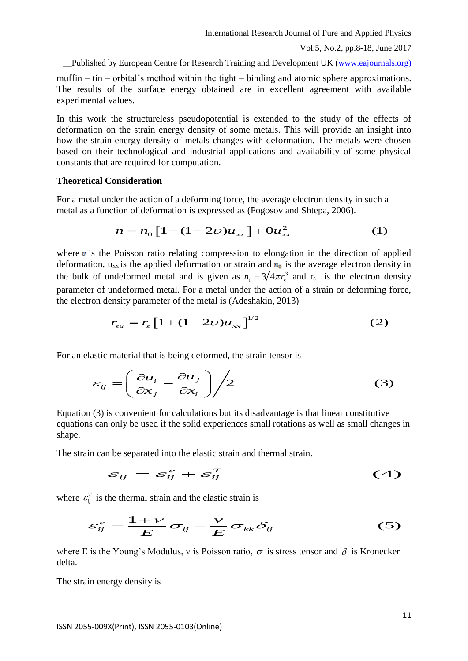\_\_Published by European Centre for Research Training and Development UK [\(www.eajournals.org\)](http://www.eajournals.org/)

muffin – tin – orbital's method within the tight – binding and atomic sphere approximations. The results of the surface energy obtained are in excellent agreement with available experimental values.

In this work the structureless pseudopotential is extended to the study of the effects of deformation on the strain energy density of some metals. This will provide an insight into how the strain energy density of metals changes with deformation. The metals were chosen based on their technological and industrial applications and availability of some physical constants that are required for computation.

#### **Theoretical Consideration**

For a metal under the action of a deforming force, the average electron density in such a metal as a function of deformation is expressed as (Pogosov and Shtepa, 2006).

$$
n = n_0 \left[ 1 - (1 - 2\nu) u_{xx} \right] + 0 u_{xx}^2 \tag{1}
$$

where  $\bf{v}$  is the Poisson ratio relating compression to elongation in the direction of applied deformation,  $u_{xx}$  is the applied deformation or strain and  $n_0$  is the average electron density in the bulk of undeformed metal and is given as  $n_0 = 3/4\pi r_s^3$  $n_0 = 3/4\pi r_s^3$  and r<sub>s</sub> is the electron density parameter of undeformed metal. For a metal under the action of a strain or deforming force, the electron density parameter of the metal is (Adeshakin, 2013)

$$
r_{su} = r_s \left[ 1 + (1 - 2\nu) u_{xx} \right]^{1/2} \tag{2}
$$

For an elastic material that is being deformed, the strain tensor is

$$
\varepsilon_{ij} = \left(\frac{\partial u_i}{\partial x_j} - \frac{\partial u_j}{\partial x_i}\right) / 2
$$
 (3)

Equation (3) is convenient for calculations but its disadvantage is that linear constitutive equations can only be used if the solid experiences small rotations as well as small changes in shape.

The strain can be separated into the elastic strain and thermal strain.

$$
\varepsilon_{ij} = \varepsilon_{ij}^e + \varepsilon_{ij}^T \tag{4}
$$

where  $\varepsilon_{ij}^T$  is the thermal strain and the elastic strain is

$$
\varepsilon_{ij}^e = \frac{1+\nu}{E} \sigma_{ij} - \frac{\nu}{E} \sigma_{kk} \delta_{ij} \tag{5}
$$

where E is the Young's Modulus, v is Poisson ratio,  $\sigma$  is stress tensor and  $\delta$  is Kronecker delta.

The strain energy density is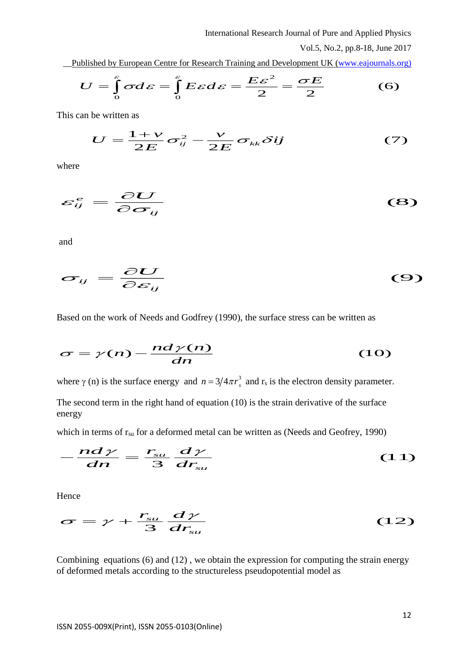\_\_Published by European Centre for Research Training and Development UK [\(www.eajournals.org\)](http://www.eajournals.org/)

$$
U = \int_{0}^{\varepsilon} \sigma d\varepsilon = \int_{0}^{\varepsilon} E \varepsilon d\varepsilon = \frac{E\varepsilon^{2}}{2} = \frac{\sigma E}{2}
$$
 (6)

This can be written as

$$
U = \frac{1+\nu}{2E} \sigma_{ij}^2 - \frac{\nu}{2E} \sigma_{kk} \delta{ij}
$$
 (7)

where

$$
\varepsilon_{ij}^e = \frac{\partial U}{\partial \sigma_{ij}} \tag{8}
$$

and

$$
\sigma_{ij} = \frac{\partial U}{\partial \varepsilon_{ij}} \tag{9}
$$

Based on the work of Needs and Godfrey (1990), the surface stress can be written as

$$
\sigma = \gamma(n) - \frac{nd\gamma(n)}{dn} \tag{10}
$$

where  $\gamma$  (n) is the surface energy and  $n = 3/4\pi r_s^3$  and  $r_s$  is the electron density parameter.

The second term in the right hand of equation (10) is the strain derivative of the surface energy

which in terms of  $r_{su}$  for a deformed metal can be written as (Needs and Geofrey, 1990)

$$
-\frac{nd\gamma}{dn} = \frac{r_{su}}{3} \frac{d\gamma}{dr_{su}} \tag{11}
$$

Hence

$$
\sigma = \gamma + \frac{r_{su}}{3} \frac{d\gamma}{dr_{su}} \tag{12}
$$

Combining equations (6) and (12) , we obtain the expression for computing the strain energy of deformed metals according to the structureless pseudopotential model as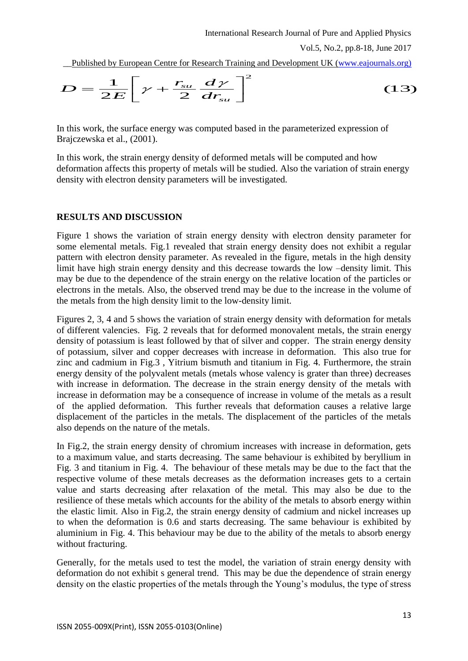\_\_Published by European Centre for Research Training and Development UK [\(www.eajournals.org\)](http://www.eajournals.org/)

$$
D = \frac{1}{2E} \left[ \gamma + \frac{r_{su}}{2} \frac{d\gamma}{dr_{su}} \right]^2 \tag{13}
$$

In this work, the surface energy was computed based in the parameterized expression of Brajczewska et al., (2001).

In this work, the strain energy density of deformed metals will be computed and how deformation affects this property of metals will be studied. Also the variation of strain energy density with electron density parameters will be investigated.

# **RESULTS AND DISCUSSION**

Figure 1 shows the variation of strain energy density with electron density parameter for some elemental metals. Fig.1 revealed that strain energy density does not exhibit a regular pattern with electron density parameter. As revealed in the figure, metals in the high density limit have high strain energy density and this decrease towards the low –density limit. This may be due to the dependence of the strain energy on the relative location of the particles or electrons in the metals. Also, the observed trend may be due to the increase in the volume of the metals from the high density limit to the low-density limit.

Figures 2, 3, 4 and 5 shows the variation of strain energy density with deformation for metals of different valencies. Fig. 2 reveals that for deformed monovalent metals, the strain energy density of potassium is least followed by that of silver and copper. The strain energy density of potassium, silver and copper decreases with increase in deformation. This also true for zinc and cadmium in Fig.3 , Yitrium bismuth and titanium in Fig. 4. Furthermore, the strain energy density of the polyvalent metals (metals whose valency is grater than three) decreases with increase in deformation. The decrease in the strain energy density of the metals with increase in deformation may be a consequence of increase in volume of the metals as a result of the applied deformation. This further reveals that deformation causes a relative large displacement of the particles in the metals. The displacement of the particles of the metals also depends on the nature of the metals.

In Fig.2, the strain energy density of chromium increases with increase in deformation, gets to a maximum value, and starts decreasing. The same behaviour is exhibited by beryllium in Fig. 3 and titanium in Fig. 4. The behaviour of these metals may be due to the fact that the respective volume of these metals decreases as the deformation increases gets to a certain value and starts decreasing after relaxation of the metal. This may also be due to the resilience of these metals which accounts for the ability of the metals to absorb energy within the elastic limit. Also in Fig.2, the strain energy density of cadmium and nickel increases up to when the deformation is 0.6 and starts decreasing. The same behaviour is exhibited by aluminium in Fig. 4. This behaviour may be due to the ability of the metals to absorb energy without fracturing.

Generally, for the metals used to test the model, the variation of strain energy density with deformation do not exhibit s general trend. This may be due the dependence of strain energy density on the elastic properties of the metals through the Young's modulus, the type of stress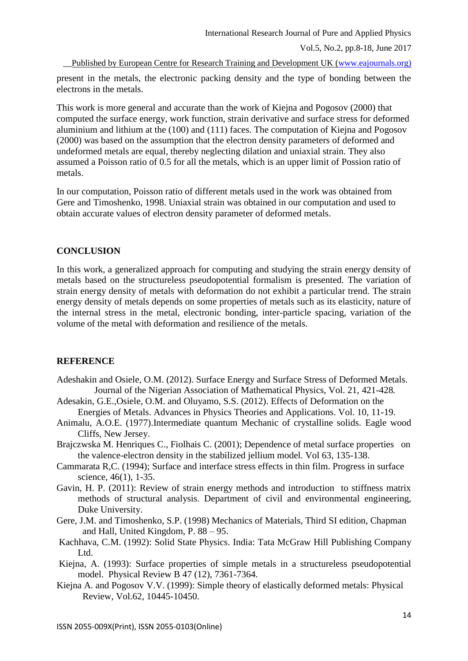\_\_Published by European Centre for Research Training and Development UK [\(www.eajournals.org\)](http://www.eajournals.org/)

present in the metals, the electronic packing density and the type of bonding between the electrons in the metals.

This work is more general and accurate than the work of Kiejna and Pogosov (2000) that computed the surface energy, work function, strain derivative and surface stress for deformed aluminium and lithium at the (100) and (111) faces. The computation of Kiejna and Pogosov (2000) was based on the assumption that the electron density parameters of deformed and undeformed metals are equal, thereby neglecting dilation and uniaxial strain. They also assumed a Poisson ratio of 0.5 for all the metals, which is an upper limit of Possion ratio of metals.

In our computation, Poisson ratio of different metals used in the work was obtained from Gere and Timoshenko, 1998. Uniaxial strain was obtained in our computation and used to obtain accurate values of electron density parameter of deformed metals.

### **CONCLUSION**

In this work, a generalized approach for computing and studying the strain energy density of metals based on the structureless pseudopotential formalism is presented. The variation of strain energy density of metals with deformation do not exhibit a particular trend. The strain energy density of metals depends on some properties of metals such as its elasticity, nature of the internal stress in the metal, electronic bonding, inter-particle spacing, variation of the volume of the metal with deformation and resilience of the metals.

### **REFERENCE**

- Adeshakin and Osiele, O.M. (2012). Surface Energy and Surface Stress of Deformed Metals. Journal of the Nigerian Association of Mathematical Physics, Vol. 21, 421-428*.*
- Adesakin, G.E.,Osiele, O.M. and Oluyamo, S.S. (2012). Effects of Deformation on the Energies of Metals. Advances in Physics Theories and Applications. Vol. 10, 11-19.
- Animalu, A.O.E. (1977).Intermediate quantum Mechanic of crystalline solids. Eagle wood Cliffs, New Jersey.
- Brajczwska M. Henriques C., Fiolhais C. (2001); Dependence of metal surface properties on the valence-electron density in the stabilized jellium model. Vol 63, 135-138.
- Cammarata R,C. (1994); Surface and interface stress effects in thin film. Progress in surface science, 46(1), 1-35.
- Gavin, H. P. (2011): Review of strain energy methods and introduction to stiffness matrix methods of structural analysis. Department of civil and environmental engineering, Duke University.
- Gere, J.M. and Timoshenko, S.P. (1998) Mechanics of Materials, Third SI edition, Chapman and Hall, United Kingdom, P. 88 – 95.
- Kachhava, C.M. (1992): Solid State Physics. India: Tata McGraw Hill Publishing Company Ltd.
- Kiejna, A. (1993): Surface properties of simple metals in a structureless pseudopotential model. Physical Review B 47 (12), 7361-7364.
- Kiejna A. and Pogosov V.V. (1999): Simple theory of elastically deformed metals: Physical Review, Vol.62, 10445-10450.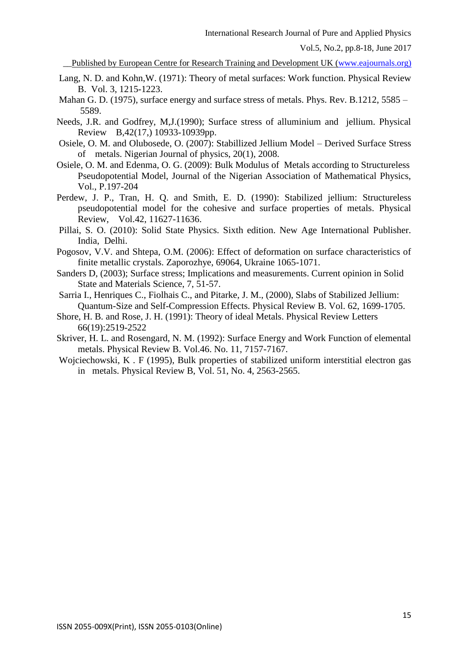\_\_Published by European Centre for Research Training and Development UK [\(www.eajournals.org\)](http://www.eajournals.org/)

- Lang, N. D. and Kohn,W. (1971): Theory of metal surfaces: Work function. Physical Review B. Vol. 3, 1215-1223.
- Mahan G. D. (1975), surface energy and surface stress of metals. Phys. Rev. B.1212, 5585 5589.
- Needs, J.R. and Godfrey, M,J.(1990); Surface stress of alluminium and jellium. Physical Review B,42(17,) 10933-10939pp.
- Osiele, O. M. and Olubosede, O. (2007): Stabillized Jellium Model Derived Surface Stress of metals. Nigerian Journal of physics, 20(1), 2008.
- Osiele, O. M. and Edenma, O. G. (2009): Bulk Modulus of Metals according to Structureless Pseudopotential Model, Journal of the Nigerian Association of Mathematical Physics, Vol., P.197-204
- Perdew, J. P., Tran, H. Q. and Smith, E. D. (1990): Stabilized jellium: Structureless pseudopotential model for the cohesive and surface properties of metals. Physical Review, Vol.42, 11627-11636.
- Pillai, S. O. (2010): Solid State Physics. Sixth edition. New Age International Publisher. India, Delhi.
- Pogosov, V.V. and Shtepa, O.M. (2006): Effect of deformation on surface characteristics of finite metallic crystals. Zaporozhye, 69064, Ukraine 1065-1071.
- Sanders D, (2003); Surface stress; Implications and measurements. Current opinion in Solid State and Materials Science, 7, 51-57.
- Sarria I., Henriques C., Fiolhais C., and Pitarke, J. M., (2000), Slabs of Stabilized Jellium: Quantum-Size and Self-Compression Effects. Physical Review B. Vol. 62, 1699-1705.
- Shore, H. B. and Rose, J. H. (1991): Theory of ideal Metals. Physical Review Letters 66(19):2519-2522
- Skriver, H. L. and Rosengard, N. M. (1992): Surface Energy and Work Function of elemental metals. Physical Review B. Vol.46. No. 11, 7157-7167.
- Wojciechowski, K . F (1995), Bulk properties of stabilized uniform interstitial electron gas in metals. Physical Review B, Vol. 51, No. 4, 2563-2565.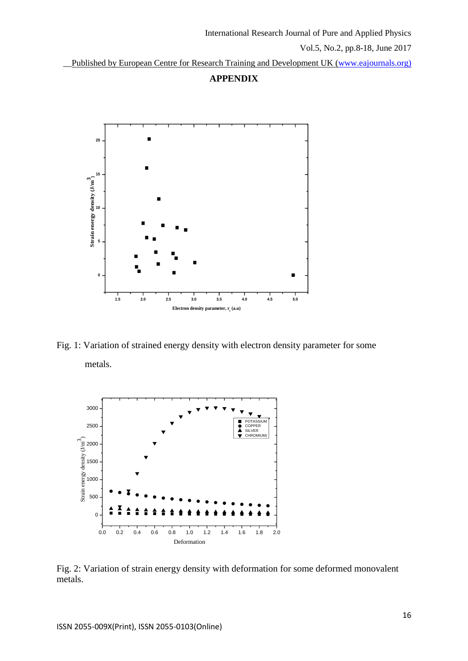Published by European Centre for Research Training and Development UK [\(www.eajournals.org\)](http://www.eajournals.org/)





Fig. 1: Variation of strained energy density with electron density parameter for some metals.



Fig. 2: Variation of strain energy density with deformation for some deformed monovalent metals.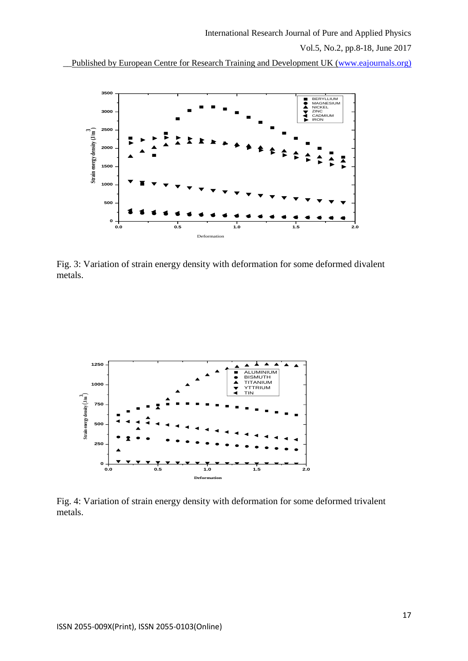\_\_Published by European Centre for Research Training and Development UK [\(www.eajournals.org\)](http://www.eajournals.org/)



Fig. 3: Variation of strain energy density with deformation for some deformed divalent metals.



Fig. 4: Variation of strain energy density with deformation for some deformed trivalent metals.